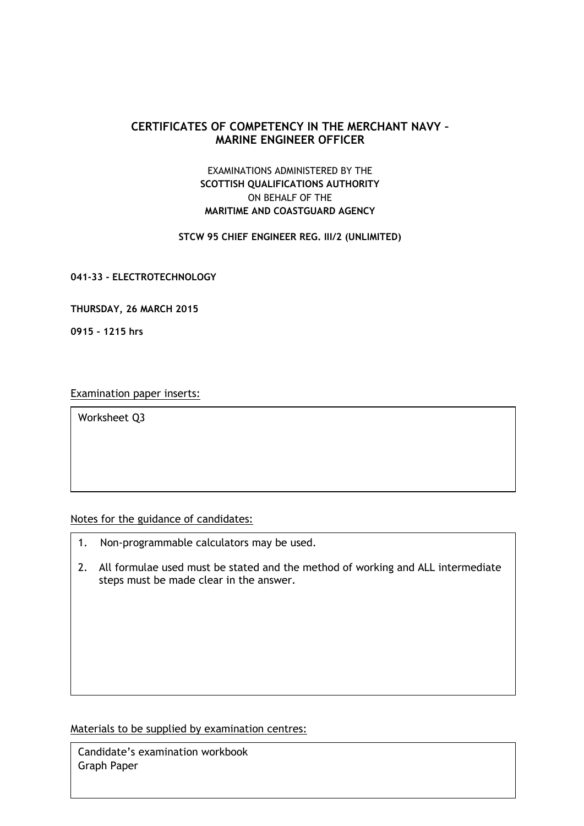## **CERTIFICATES OF COMPETENCY IN THE MERCHANT NAVY – MARINE ENGINEER OFFICER**

## EXAMINATIONS ADMINISTERED BY THE **SCOTTISH QUALIFICATIONS AUTHORITY** ON BEHALF OF THE **MARITIME AND COASTGUARD AGENCY**

## **STCW 95 CHIEF ENGINEER REG. III/2 (UNLIMITED)**

**041-33 - ELECTROTECHNOLOGY**

**THURSDAY, 26 MARCH 2015**

**0915 - 1215 hrs**

Examination paper inserts:

Worksheet Q3

Notes for the guidance of candidates:

- 1. Non-programmable calculators may be used.
- 2. All formulae used must be stated and the method of working and ALL intermediate steps must be made clear in the answer.

Materials to be supplied by examination centres:

Candidate's examination workbook Graph Paper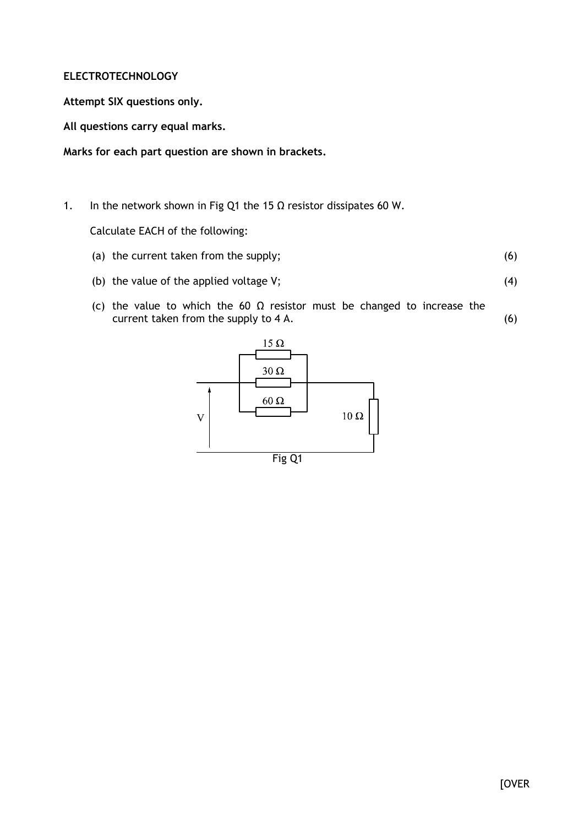## **ELECTROTECHNOLOGY**

**Attempt SIX questions only.**

**All questions carry equal marks.**

**Marks for each part question are shown in brackets.**

1. In the network shown in Fig Q1 the 15  $\Omega$  resistor dissipates 60 W.

Calculate EACH of the following:

- (a) the current taken from the supply; (6)
- (b) the value of the applied voltage V;
- (4)
- (c) the value to which the 60  $\Omega$  resistor must be changed to increase the current taken from the supply to 4 A. (6)

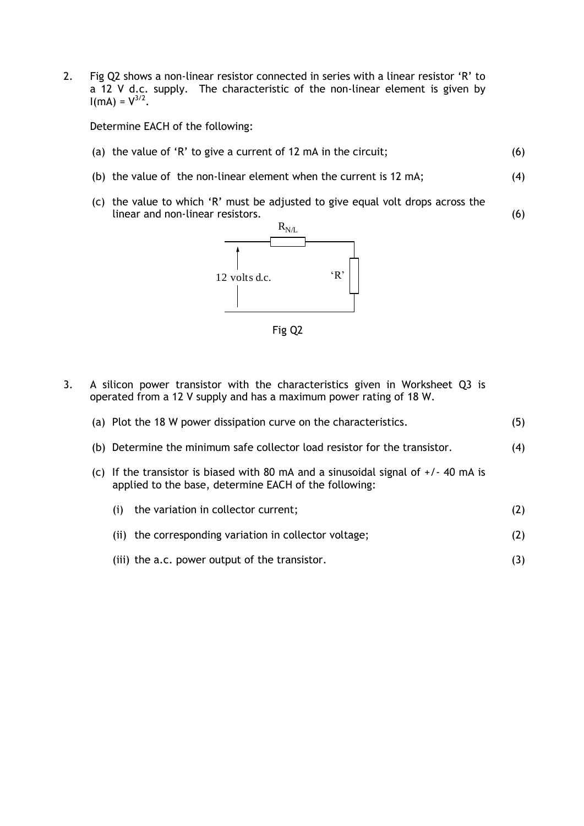2. Fig Q2 shows a non-linear resistor connected in series with a linear resistor 'R' to a 12 V d.c. supply. The characteristic of the non-linear element is given by  $I(mA) = V^{3/2}$ .

Determine EACH of the following:

- (a) the value of 'R' to give a current of 12 mA in the circuit; (6)
- (b) the value of the non-linear element when the current is 12 mA; (4)

(6)

(c) the value to which 'R' must be adjusted to give equal volt drops across the linear and non-linear resistors.





3. A silicon power transistor with the characteristics given in Worksheet Q3 is operated from a 12 V supply and has a maximum power rating of 18 W.

| (a) Plot the 18 W power dissipation curve on the characteristics.                                                                            |                                                        | (5)               |
|----------------------------------------------------------------------------------------------------------------------------------------------|--------------------------------------------------------|-------------------|
| (b) Determine the minimum safe collector load resistor for the transistor.                                                                   |                                                        | (4)               |
| (c) If the transistor is biased with 80 mA and a sinusoidal signal of $+/$ 40 mA is<br>applied to the base, determine EACH of the following: |                                                        |                   |
| (i)                                                                                                                                          | the variation in collector current;                    | (2)               |
|                                                                                                                                              | (ii) the corresponding variation in collector voltage; | (2)               |
|                                                                                                                                              | (iii) the a.c. power output of the transistor.         | $\left( 3\right)$ |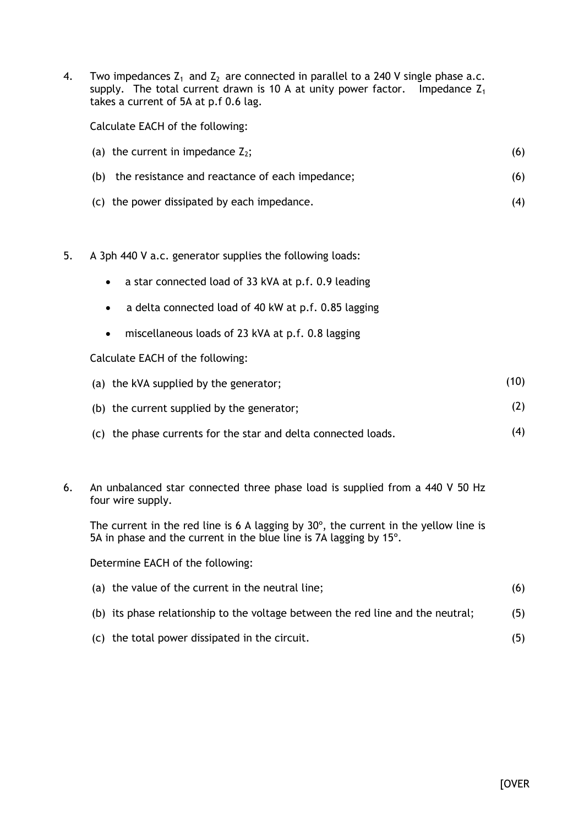4. Two impedances  $Z_1$  and  $Z_2$  are connected in parallel to a 240 V single phase a.c. supply. The total current drawn is 10 A at unity power factor. Impedance  $Z_1$ takes a current of 5A at p.f 0.6 lag.

Calculate EACH of the following:

| (a) the current in impedance $Z_2$ ;                | (6) |
|-----------------------------------------------------|-----|
| (b) the resistance and reactance of each impedance; | (6) |
| (c) the power dissipated by each impedance.         |     |

- 5. A 3ph 440 V a.c. generator supplies the following loads:
	- a star connected load of 33 kVA at p.f. 0.9 leading
	- a delta connected load of 40 kW at p.f. 0.85 lagging
	- miscellaneous loads of 23 kVA at p.f. 0.8 lagging

Calculate EACH of the following:

| (a) the kVA supplied by the generator; |  |  |  |  |  |
|----------------------------------------|--|--|--|--|--|
|                                        |  |  |  |  |  |

- (b) the current supplied by the generator; (2)
- (c) the phase currents for the star and delta connected loads. (4)
- 6. An unbalanced star connected three phase load is supplied from a 440 V 50 Hz four wire supply.

The current in the red line is 6 A lagging by 30º, the current in the yellow line is 5A in phase and the current in the blue line is 7A lagging by 15º.

Determine EACH of the following:

| (a) the value of the current in the neutral line;                               |  |
|---------------------------------------------------------------------------------|--|
| (b) its phase relationship to the voltage between the red line and the neutral; |  |

(c) the total power dissipated in the circuit.

(5)